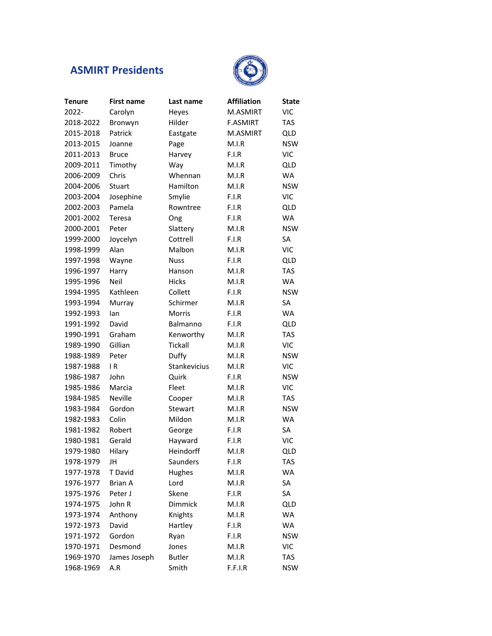## **ASMIRT Presidents**



| <b>Tenure</b> | <b>First name</b> | Last name      | <b>Affiliation</b> | <b>State</b> |
|---------------|-------------------|----------------|--------------------|--------------|
| 2022-         | Carolyn           | Heyes          | M.ASMIRT           | <b>VIC</b>   |
| 2018-2022     | Bronwyn           | Hilder         | <b>F.ASMIRT</b>    | <b>TAS</b>   |
| 2015-2018     | Patrick           | Eastgate       | M.ASMIRT           | <b>QLD</b>   |
| 2013-2015     | Joanne            | Page           | M.I.R              | <b>NSW</b>   |
| 2011-2013     | <b>Bruce</b>      | Harvey         | F.I.R              | <b>VIC</b>   |
| 2009-2011     | Timothy           | Way            | M.I.R              | QLD          |
| 2006-2009     | Chris             | Whennan        | M.I.R              | <b>WA</b>    |
| 2004-2006     | Stuart            | Hamilton       | M.I.R              | <b>NSW</b>   |
| 2003-2004     | Josephine         | Smylie         | F.I.R              | <b>VIC</b>   |
| 2002-2003     | Pamela            | Rowntree       | F.I.R              | QLD          |
| 2001-2002     | Teresa            | Ong            | F.I.R              | <b>WA</b>    |
| 2000-2001     | Peter             | Slattery       | M.I.R              | <b>NSW</b>   |
| 1999-2000     | Joycelyn          | Cottrell       | F.I.R              | SA           |
| 1998-1999     | Alan              | Malbon         | M.I.R              | <b>VIC</b>   |
| 1997-1998     | Wayne             | <b>Nuss</b>    | F.I.R              | QLD          |
| 1996-1997     | Harry             | Hanson         | M.I.R              | <b>TAS</b>   |
| 1995-1996     | Neil              | <b>Hicks</b>   | M.I.R              | <b>WA</b>    |
| 1994-1995     | Kathleen          | Collett        | F.I.R              | <b>NSW</b>   |
| 1993-1994     | Murray            | Schirmer       | M.I.R              | SA           |
| 1992-1993     | lan               | <b>Morris</b>  | F.I.R              | <b>WA</b>    |
| 1991-1992     | David             | Balmanno       | F.I.R              | <b>QLD</b>   |
| 1990-1991     | Graham            | Kenworthy      | M.I.R              | <b>TAS</b>   |
| 1989-1990     | Gillian           | <b>Tickall</b> | M.I.R              | <b>VIC</b>   |
| 1988-1989     | Peter             | Duffy          | M.I.R              | <b>NSW</b>   |
| 1987-1988     | IR                | Stankevicius   | M.I.R              | <b>VIC</b>   |
| 1986-1987     | John              | Quirk          | F.I.R              | <b>NSW</b>   |
| 1985-1986     | Marcia            | Fleet          | M.I.R              | <b>VIC</b>   |
| 1984-1985     | <b>Neville</b>    | Cooper         | M.I.R              | <b>TAS</b>   |
| 1983-1984     | Gordon            | Stewart        | M.I.R              | <b>NSW</b>   |
| 1982-1983     | Colin             | Mildon         | M.I.R              | WA           |
| 1981-1982     | Robert            | George         | F.I.R              | SA           |
| 1980-1981     | Gerald            | Hayward        | F.I.R              | <b>VIC</b>   |
| 1979-1980     | Hilary            | Heindorff      | M.I.R              | <b>QLD</b>   |
| 1978-1979     | JH                | Saunders       | F.I.R              | <b>TAS</b>   |
| 1977-1978     | T David           | Hughes         | M.I.R              | <b>WA</b>    |
| 1976-1977     | <b>Brian A</b>    | Lord           | M.I.R              | SA           |
| 1975-1976     | Peter J           | Skene          | F.I.R              | SA           |
| 1974-1975     | John R            | Dimmick        | M.I.R              | <b>QLD</b>   |
| 1973-1974     | Anthony           | Knights        | M.I.R              | WA           |
| 1972-1973     | David             | Hartley        | F.I.R              | WA           |
| 1971-1972     | Gordon            | Ryan           | F.I.R              | <b>NSW</b>   |
| 1970-1971     | Desmond           | Jones          | M.I.R              | <b>VIC</b>   |
| 1969-1970     | James Joseph      | <b>Butler</b>  | M.I.R              | <b>TAS</b>   |
| 1968-1969     | A.R               | Smith          | F.F.I.R            | <b>NSW</b>   |